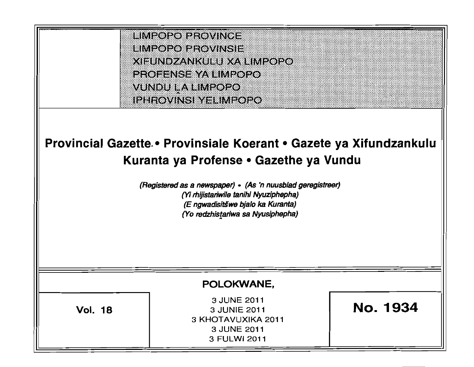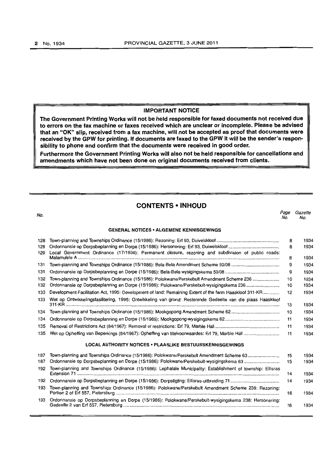#### IMPORTANT NOTICE

The Government Printing Works will not be held responsible for faxed documents not received due to errors on the fax machine or faxes received which are unclear or incomplete. Please be advised that an "OK" slip, received from a fax machine, will not be accepted as proof that documents were received by the GPW for printing. If documents are faxed to the GPW it will be the sender's responsibility to phone and confirm that the documents were received in good order.

Furthermore the Government Printing Works will also not be held responsible for cancellations and amendments which have not been done on original documents received from clients.

### **CONTENTS • INHOUD**

No. Page Gazette No. No. GENERAL NOTICES • ALGEMENE KENNISGEWINGS 128 Town·planning and Townships Ordinance (15/1986): Rezoning: Erf 93, Duivelskloof ................................................ .. 8 1934 128 Ordonnansie op Dorpsbeplanning en Dorpe (15/1986): Hersonering: Erf93, Duiwelskloof... .................................... .. 8 1934 129 Local Government Ordinance (17/1939): Permanent closure, rezoning and subdivision of public roads: Malamulele A ................................................................................................................................................................ . 8 1934 131 Town·planning and Townships Ordinance (15/1986): Bela·Bela Amendment Scheme 50/08 .................................... .. 9 1934 131 Ordonnansie op Dorpsbeplanning en Dorpa (15/1986): Bela·Bela·wysigingskema 50/08 ......................................... .. 9 1934 132 Town·planning and Townships Ordinance (15/1986): Polokwane/PerskebultAmandment Scheme 236 .................... . 10 1934 132 Ordonnansie op Dorpsbeplanning en Dorpe (15/1986): Polokwane/Perskebult·wysigingskema 236 ........................ .. 10 1934 133 Development Facilitation Act. 1995: Development of land: Remaining Extent of the farm Haaskloof 311-KR ............ . 12 1934 133 Wet op Ontwikkelingsfasilitering. 1995: Ontwikkeling van grond: Resterende Gedeelte van die plaas Haaskloof 311-KR .......................................................................................................................................................................... . 13 1934 134 Town·planning and Townships Ordinance (15/1986): Mookgopong Amendment Scheme 62 .................................... .. 10 1934 134 Ordonnansie op Dorpsbeplanning en Dorpe (15/1986): Mookgopong-wysigingskema 62 .......................................... . 11 1934 135 Removal of Restrictions Act (84/1967): Removal of restrictions: Erf 79, Marble Hall ................................................. .. 11 1934 135 Wet op Opheffing *van* Beperkings (84/1967): Opheffing van titelvoorwaardes: Erf 79, Marble Hall .......................... .. 11 1934 LOCAL AUTHORITY NOTICES· PLAASLIKE BESTUURSKENNISGEWINGS 187 Town-planning and Townships Ordinance (15/1986): Polokwane/Perskebult Amendment Scheme 63.................. ....... 15 1934 187 Ordonnansie op Dorpsbeplanning en Dorpe (15/1986): Polokwane/Perskebult-wysigingskema 63 ............................ 15 1934 192 Town-planning and Townships Ordinance (15/1986): Lephalale Municipality: Establishment of township: Ellisras Extension 71 .................................................................................................................................................................. 14 1934 192 Ordonnansie op Dorpsbeplanning en Dorpe (15/1986): Dorpstigting: Ellisras·uitbreiding 71....................................... 14 1934 193 Town-planning and Townships Ordinance (15/1986): Polokwane/Perskebult Amendment Scheme 238: Rezoning: Portion 2 of Erf 557, Pietersburg.............. ......... ................ ......... ................. ......... ............ ....................... ......... ............. 16 1934 193 Ordonnansie op Dorpsbeplanning en Dorpe (15/1986): Polokwane/Perskebult·wysigingskema 238: Hersonering: Gedeelte 2 van Erf 557, Pietersburg ................................................. ................................................................. ........... 16 1934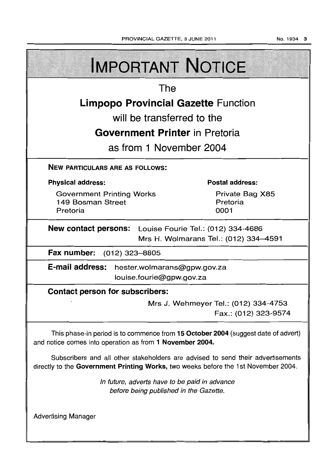No.1934 3

| <b>IMPORTANT NOTICE</b>                                                                                                                                               |                                                              |  |  |  |
|-----------------------------------------------------------------------------------------------------------------------------------------------------------------------|--------------------------------------------------------------|--|--|--|
| The                                                                                                                                                                   |                                                              |  |  |  |
| <b>Limpopo Provincial Gazette Function</b>                                                                                                                            |                                                              |  |  |  |
| will be transferred to the                                                                                                                                            |                                                              |  |  |  |
| <b>Government Printer</b> in Pretoria                                                                                                                                 |                                                              |  |  |  |
| as from 1 November 2004                                                                                                                                               |                                                              |  |  |  |
| <b>NEW PARTICULARS ARE AS FOLLOWS:</b>                                                                                                                                |                                                              |  |  |  |
| <b>Physical address:</b>                                                                                                                                              | <b>Postal address:</b>                                       |  |  |  |
| <b>Government Printing Works</b><br>149 Bosman Street<br>Pretoria                                                                                                     | Private Bag X85<br>Pretoria<br>0001                          |  |  |  |
| <b>New contact persons:</b> Louise Fourie Tel.: (012) 334-4686<br>Mrs H. Wolmarans Tel.: (012) 334-4591                                                               |                                                              |  |  |  |
| Fax number: (012) 323-8805                                                                                                                                            |                                                              |  |  |  |
| E-mail address: hester.wolmarans@gpw.gov.za<br>louise.fourie@gpw.gov.za                                                                                               |                                                              |  |  |  |
| <b>Contact person for subscribers:</b>                                                                                                                                |                                                              |  |  |  |
|                                                                                                                                                                       | Mrs J. Wehmeyer Tel.: (012) 334-4753<br>Fax.: (012) 323-9574 |  |  |  |
| This phase-in period is to commence from 15 October 2004 (suggest date of advert)<br>and notice comes into operation as from 1 November 2004.                         |                                                              |  |  |  |
| Subscribers and all other stakeholders are advised to send their advertisements<br>directly to the Government Printing Works, two weeks before the 1st November 2004. |                                                              |  |  |  |
| In future, adverts have to be paid in advance<br>before being published in the Gazette.                                                                               |                                                              |  |  |  |
| <b>Advertising Manager</b>                                                                                                                                            |                                                              |  |  |  |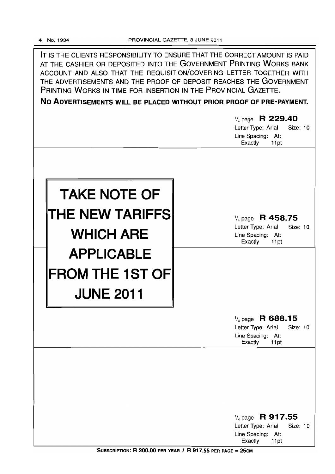**IT** IS THE CLIENTS RESPONSIBILITY TO ENSURE THAT THE CORRECT AMOUNT IS PAID AT THE CASHIER OR DEPOSITED INTO THE GOVERNMENT PRINTING WORKS BANK ACCOUNT AND ALSO THAT THE REQUISITION/COVERING LETTER TOGETHER WITH THE ADVERTISEMENTS AND THE PROOF OF DEPOSIT REACHES THE GOVERNMENT PRINTING WORKS IN TIME FOR INSERTION IN THE PROVINCIAL GAZETTE.

**No ADVERTISEMENTS WILL BE PLACED WITHOUT PRIOR PROOF OF PRE-PAYMENT.** 

|                                                                   | $\frac{1}{4}$ page R 229.40<br><b>Size: 10</b><br>Letter Type: Arial<br>Line Spacing: At:<br>Exactly<br>11pt |
|-------------------------------------------------------------------|--------------------------------------------------------------------------------------------------------------|
| <b>TAKE NOTE OF</b><br><b>THE NEW TARIFFS</b><br><b>WHICH ARE</b> | $\frac{1}{4}$ page R 458.75<br>Letter Type: Arial<br>Size: 10<br>Line Spacing: At:<br>Exactly<br>11pt        |
| <b>APPLICABLE</b><br><b>FROM THE 1ST OF</b><br><b>JUNE 2011</b>   |                                                                                                              |
|                                                                   | $\frac{1}{4}$ page R 688.15<br>Letter Type: Arial<br>Size: 10<br>Line Spacing: At:<br>Exactly<br>11pt        |
|                                                                   | $\frac{1}{4}$ page R 917.55                                                                                  |
|                                                                   | Letter Type: Arial<br>Size: 10<br>Line Spacing: At:<br>Exactly<br>11pt                                       |

SUBSCRIPTION: R 200.00 PER YEAR / R 917.55 PER PAGE =  $25cm$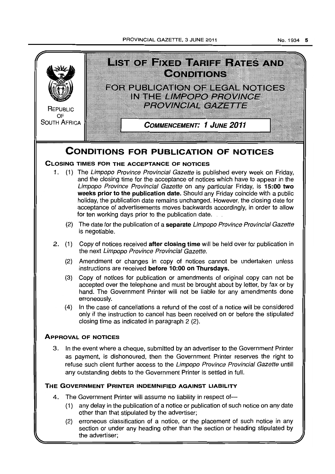PROVINCIAL GAZETTE, 3 JUNE 2011



section or under any heading other than the section or heading stipulated by the advertiser;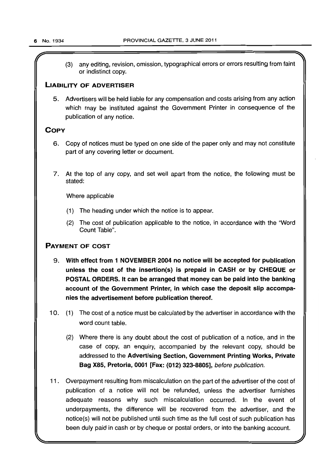(3) any editing, revision, omission, typographical errors or errors resulting from faint or indistinct copy.

### LIABILITY OF ADVERTISER

5. Advertisers will be held liable for any compensation and costs arising from any action which may be instituted against the Government Printer in consequence of the publication of any notice.

### **COPY**

- 6. Copy of notices must be typed on one side of the paper only and may not constitute part of any covering letter or document.
- 7. At the top of any copy, and set well apart from the notice, the following must be stated:

Where applicable

- (1) The heading under which the notice is to appear.
- (2) The cost of publication applicable to the notice, in accordance with the "Word Count Table".

### PAYMENT OF COST

- 9. With effect from 1 NOVEMBER 2004 no notice will be accepted for publication unless the cost of the insertion(s) is prepaid in CASH or by CHEQUE or POSTAL ORDERS. It can be arranged that money can be paid into the banking account of the Government Printer, in which case the deposit slip accompanies the advertisement before publication thereof.
- 10. (1) The cost of a notice must be calculated by the advertiser in accordance with the word count table.
	- (2) Where there is any doubt about the cost of publication of a notice, and in the case of copy, an enquiry, accompanied by the relevant copy, should be addressed to the Advertising Section, Government Printing Works, Private Bag X85, Pretoria, 0001 [Fax: (012) 323-8805], before publication.
- 11. Overpayment resulting from miscalculation on the part of the advertiser of the cost of publication of a notice will not be refunded, unless the advertiser furnishes adequate reasons why such miscalculation occurred. In the event of underpayments, the difference will be recovered from the advertiser, and the notice(s) will not be published until such time as the full cost of such publication has been duly paid in cash or by cheque or postal orders, or into the banking account.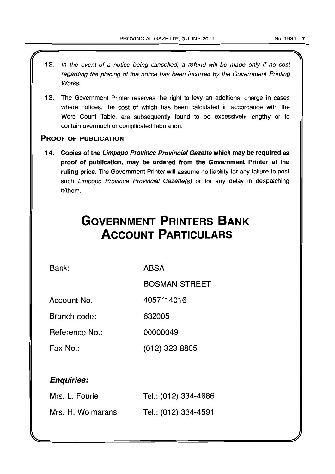- 12. In the event of a notice being cancelled, a refund will be made only if no cost regarding the placing of the notice has been incurred by the Government Printing Works.
- 13. The Government Printer reserves the right to levy an additional charge in cases where notices, the cost of which has been calculated in accordance with the Word Count Table, are subsequently found to be excessively lengthy or to contain overmuch or complicated tabulation.

### PROOF OF PUBLICATION

14. Copies of the Limpopo Province Provincial Gazette which may be required as proof of publication, may be ordered from the Government Printer at the ruling price. The Government Printer will assume no liability for any failure to post such Limpopo Province Provincial Gazette(s) or for any delay in despatching it/them.

# **GOVERNMENT PRINTERS BANK ACCOUNT PARTICULARS**

Bank:

ABSA

BOSMAN STREET

Account No.: 4057114016

Branch code: 632005

Reference No.: 00000049

Fax No.: (012) 323 8805

### Enquiries:

| Mrs. L. Fourie    | Tel.: (012) 334-4686 |
|-------------------|----------------------|
| Mrs. H. Wolmarans | Tel.: (012) 334-4591 |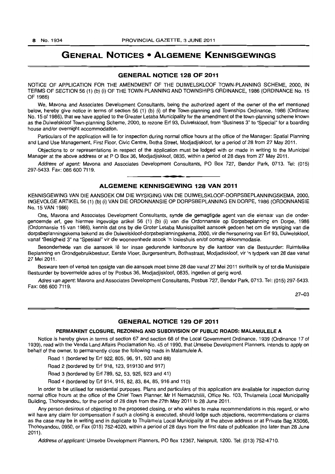### **GENERAL NOTICES • ALGEMENE KENNISGEWINGS**

#### **GENERAL NOTICE 128 OF 2011**

NOTICE OF APPLICATION FOR THE AMENDMENT OF THE DUIWELSKLOOF TOWN-PLANNING SCHEME, 2000, IN TERMS OF SECTION 56 (1) (b) (i) OF THE TOWN-PLANNING AND TOWNSHIPS ORDINANCE, 1986 (ORDINANCE No. 15 OF 1986)

We, Mavona and Associates Development Consultants, being the authorized agent of the owner of the erf mentioned below, hereby give notice in terms of section 56 (1) (b) (i) of the Town-planning and Townships Ordinance, 1986 (Ordinanc No. 15 of 1986), that we have applied to the Greater Letaba Municipality for the amendment of the town-planning scheme known as the Duiwelskloof Town-planning Scheme, 2000, to rezone Erf 93, Duivelskloof, from "Business 3" to "Special" for a boarding house and/or overnight accommodation.

Particulars of the application will lie for inspection during normal office hours at the office of the Manager: Spatial Planning and Land Use Management, First Floor, Civic Centre, Botha Street, Modjadjiskloof, for a period of 28 from 27 May 2011.

Objections to or representations in respect of the application must be lodged with or made in writing to the Municipal Manager at the above address or at P O Box 36, Modjadjiskloof, 0835, within a period of 28 days from 27 May 2011.

Address of agent: Mavona and Associates Development Consultants, PO Box 727, Bendor Park, 0713. Tel: (015) 297-5433. Fax: 086 600 7119.

**•** 

#### **ALGEMENE KENNISGEWING 128 VAN 2011**

KENNISGEWING VAN DIE AANSOEK OM DIE WYSIGING VAN DIE DUIWELSKLOOF-DORPSBEPLANNINGSKEMA, 2000, fNGEVOLGE ARTIKEL 56 (1) (b) (i) VAN DIE ORDONNANSIE OP DORPSBEPLANNING EN DORPE, 1986 (ORDONNANSIE No. 15 VAN 1986)

Ons, Mavona and Associates Development Consultants, synde die gemagtigde agent van die eienaar van die ondergenoemde erf, gee hiermee ingevolge artikel 56 (1) (b) (i) van die Ordonnansie op Dorpsbeplanning en Dorpe, 1986 (Ordonnansie 15 van 1986), kennis dat ons by die Groter Letaba Munisipaliteit aansoek gedoen het om die wysiging van die dorpsbeplanningskema bekend as die Duiwelskloof-dorpsbeplanningskema, 2000, vir die hersonering van Erf 93, Duiwelskloof, vanaf "Besigheid 3" na "Spesiaal" vir die wooneenhede asook 'n losieshuis en/of oornag akkommodasie.

Besonderhede van die aansoek lê ter insae gedurende kantoorure by die kantoor van die Bestuurder: Ruimtelike Beplanning en Grondgebruikbestuur, Eerste Vloer, Burgersentrum, Bothastraat, Modjadiskloof, vir 'n tydperk van 28 dae vanaf 27 Mei 2011.

Besware teen of vertoë ten opsigte van die aansoek moet binne 28 dae vanaf 27 Mei 2011 skriftelik by of tot die Munisipale Bestuurder by bovermelde adres of by Posbus 36, Modjadjiskloof, 0835, ingedien of gerig word.

Adres van agent: Mavona and Associates Development Consultants, Posbus 727, Bendor Park, 0713. Tel: (015) 297-5433. Fax: 086 600 7119.

27-03

#### **GENERAL NOTICE 129 OF 2011**

#### **PERMANENT CLOSURE, REZONING AND SUBDIVISION OF PUBLIC ROADS: MALAMULELE** A

Notice is hereby given in terms of section 67 and section 68 of the Local Government Ordinance, 1939 (Ordinance 17 of 1939), read with the Venda Land Affairs Proclamation No. 45 of 1990, that Umsebe Development Planners, intends to apply on behalf of the owner, to permanently close the following roads in Malamulele A.

Road 1 (bordered by Erf 922, 805, 96, 91, 920 and 88)

Road 2 (bordered by Erf 918, 123, 919130 and 917)

Road 3 (bordered by Erf 789, 52, 53, 925, 923 and 41)

Road 4 (bordered by Erf 914,915,82,83,84,85,916 and 110)

In order to be utilised for residential purposes. Plans and particulars of this application are available for inspection during normal office hours at the office of the Chief Town Planner, Mr H Nemadzhilili. Office No. 103, Thulamela Local Municipality Building, Thohoyandou, for the period of 28 days from the 27th May 2011 to 28 June 2011.

Any person desirous of objecting to the proposed closing, or who wishes to make recommendations in this regard. or who will have any claim for compensation if such a closing is executed, should lodge such objections, recommendations or claims as the case may be in writing and in duplicate to Thulamela Local Municipality at the above address or at Private Bag X5066, Thohoyandou, 0950, or Fax (015) 762-4020, within a period of 28 days from the first date of publication (no later than 28 June  $2011$ .

Address of applicant: Umsebe Development Planners, PO Box 12367. Nelspruit. 1200. Tel: (013) 752-4710.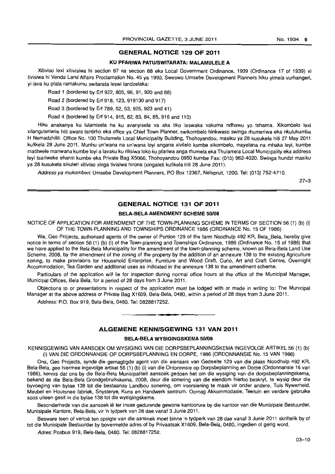#### **GENERAL NOTICE 129 OF 2011**

#### **KU PFARIWA PATu/SWITARATA: MALAMULELE A**

Xitiviso lexi xitivisiwa hi section 67 na section 68 eka Local Government Ordinance, 1939 (Ordinance 17 of 1939) xi tivisiwa hi Venda Land Affairs Proclamation No. 45 ya 1990, Sweswo Umsebe Development Planners hiku yimela vurhangeri, yi lava ku pfala ramakumu switarata leswi landzelaka:

Road 1 (bordered by Erf 922, 805, 96, 91, 920 and 88)

Road 2 (bordered by Erf 918,123,919130 and 917)

Road 3 (bordered by Erf 789, 52, 53, 925, 923 and 41 )

Road 4 (bordered by Erf 914, 915, 82, 83, 84, 85, 916 and 110)

Hiku anakanya ku lulamisela na ku avanyisela va aka tiko leswaka vakuma ndhawu yo tshama. Xikombelo lexi xilanguteriwile hiti awara tantirho eka office ya Chief Town Planner, swikombelo hinkwaso swinga rhumeriwa eka nkulukumba H Nemadzhilili. Office No. 100 Thulamela Local Municipality Building, Thohoyandou, masiku ya 28 kusukela hiti 27 May 2011 kufikela 28 June 2011. Munhu un'wana na un'wana loyi angana xivilelo kumbe xikombelo, mayelana na mhaka leyi, kumbe matitwele manwana kumbe loyi a lavaku ku rilisiwa loko ku pfariwa anga rhumela eka Thulamela Local Municipality eka address leyi tsariweke ehansi kumbe eka Private Bag X5066, Thohoyandou 0950 kumbe Fax: (015) 962-4020. Swinga hundzi masiku ya 28 kusukela sikuleri xitiviso xinga tivisiwa hirona (xingaleti kufikela hiti 28 June 2011).

Address ya mukomberi: Umsebe Development Planners, PO Box 12367, Nelspruit, 1200. Tel: (013) 752-4710.

27-3

#### **GENERAL NOTICE 131 OF 2011**

#### **BELA-BELA AMENDMENT SCHEME 50/08**

NOTICE OF APPLICATION FOR AMENDMENT OF THE TOWN-PLANNING SCHEME IN TERMS OF SECTION 56 (1) (b) (i) OF THE TOWN-PLANNING AND TOWNSHIPS ORDINANCE 1986 (ORDINANCE No. 15 OF 1986)

We, Geo Projects, authorised agents of the owner of Portion 129 of the farm Noodhulp 492 KR, Bela\_Bela, hereby give notice in terms of section 56 (1) (b) (i) of the Town-planning and Townships Ordinance, 1986 (Ordinance No. 15 of 1986) that we have applied to the Bela-Bela Municipality for the amendment of the town-planning scheme, known as Bela-Bela Land Use Scheme, 2008, by the amendment of the zoning of the property by the addition of an annexure 138 to the existing Agriculture zoning, to make provisions for Household Enterprise, Furniture and Wood Craft, Curio. Art and Craft Centre, Overnight Accommodation, Tea Garden and additional uses as indicated in the annexure 138 to the amendment scheme.

Particulars of the application will lie for inspection during normal office hours at the office of the Municipal Manager, Municipal Offices, Bela Bela, for a period of 28 days from 3 June 2011.

Objections to or presentations in respect of the application must be lodged with or made in writing to: The Municipal Manager at the above address or Private Bag X1609, Bela-Bela, 0480, within a period of 28 days from 3 June 2011.

Address: P.O. Box 919, Bela-Bela, 0480. Tel: 0828817252 .

#### **ALGEMENE KENNISGEWING 131 VAN 2011**

**•** 

#### **BELA-BELA WYSIGINGSKEMA 50/08**

KENNISGEWING VAN AANSOEK OM WYSIGING VAN DIE DORPSBEPLANNINGSKEMA INGEVOLGE ARTIKEL 56 (1) (b) (i) VAN DIE ORDONNANSIE OP DORPSBEPLANNING EN DORPE. 1986 (ORDONNANSIE No. 15 VAN 1986)

Ons, Geo Projects, synde die gemagtigde agent van die eienaars van Gedeelte 129 van die plaas Noodhulp 492 KR, Bela-Bela, gee hiermee ingevolge artikel 56 (1) (b) (i) van die Ordonnnsie op Dorpsbeplanning en Dorpe (Ordonnansie 15 van 1986), kennis dat ons by die Bela-Bela Munisipaliteit aansoek gedoen het om die wysiging van die dorpsbeplanningskema, bekend as die Bela-Bela Grondgebruikskema, 2008, deur die sonering van die eiendom hierbo beskryf, te wysig deur die byvoeging van bylae 138 tot die bestaande Landbou sonering. om voorsiening te maak vir onder andere, Tuis Nywerheid, Meubel en Houtsnee fabriek, Snysterye, Kuns en Handwerk sentrum. Oornag Akkommodasie, Teetuin en verdere gebruike soos uiteen gesit in die bylae 138 tot die wysigingskema.

Besonderhede van die aansoek lê ter insae gedurende gewone kantoorure by die kantoor van die Munisipale Bestuurder, Munisipale Kantore, Bela-Bela, vir 'n tydperk van 28 dae vanaf 3 Junie 2011.

Besware teen of vertoë ten opsigte van die aansoek moet binne 'n tydperk van 28 dae vanaf 3 Junie 2011 skriftelik by of tot die Munisipale Bestuurder by bovermelde adres of by Privaatsak X1609, Bela-Bela, 0480, ingedien of gerig word.

Adres: Posbus 919, Bela-Bela, 0480. Tel: 0828817252.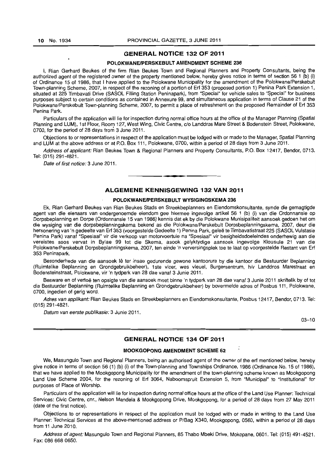#### **GENERAL NOTICE 132 OF 2011**

#### **POLOKWANEIPERSKEBULT AMENDMENT SCHEME 236**

I, Rian Gerhard Beukes of the firm Rian Beukes Town and Regional Planners and Property Consultants, being the authorized agent of the registered owner of the property mentioned below, hereby gives notice in terms of section 56 1 (b) (i) of Ordinance 15 of 1986, that I have applied to the Polokwane Municipality for the amendment of the Polokwane/Perskebult Town-planning Scheme, 2007, in respect of the rezoning of a portion of Erf 353 (proposed portion 1) Penina Park Extension 1, situated at 225 Timbavati Drive (SASOL Filling Station Peninapark), from "Special" for vehicle sales to "Special" for business purposes subject to certain conditions as contained in Annexure 99, and simultaneous application in terms of Clause 21 of the Polokwane/Perskebult Town-planning Scheme, 2007, to permit a place of refreshment on the proposed Remainder of Erf 353 Penina Park.

Particulars of the application will lie for inspection during normal office hours at the office of the Manager Planning (Spatial Planning and LUM), 1st Floor, Room 127, West Wing, Civic Centre, c/o Landdros Mare Street & Bodenstein Street, Polokwane, 0700, for the period of 28 days from 3 June 2011.

Objections to or representations in respect of the application must be lodged with or made to the Manager, Spatial Planning and LUM at the above address or at P.O. Box 111, Polokwane, 0700, within a period of 28 days from 3 June 2011.

Address of applicant: Rian Beukes Town & Regional Planners and Property Consultants, P.O. Box 12417, Bendor, 0713. Tel: (015) 291-4821.

Date of first notice: 3 June 2011.

#### **ALGEMENE KENNISGEWING 132 VAN 2011**

**\_ 1** 

#### **POLOKWANEIPERSKEBULT WVSIGINGSKEMA 236**

Ek, Rian Gerhard Beukes van Rian Beukes Stads en Streekbeplanners en Eiendomskonsultante, synde die gemagtigde agent van die eienaars van ondergenoemde eiendom gee hiermee ingevolge artikel 56 1 (b) (i) van die Ordonnansie op Dorpsbeplanning en Dorpe (Ordonnansie 15 van 1986) kennis dal ek by die Polokwane Munisipaliteit aansoek gedoen het om die wysiging van die dorpsbeplanningskema bekend as die Polokwane/Perskebult Dorpsbeplanningskema, 2007, deur die hersonering van 'n gedeelte van Erf 353 (voorgestelde Gedeelte 1) Penina Park, geleë te Timbavatistraat 225 (SASOL Vulstasie Penina Park) vanaf "Spesiaal" vir die verkoop van motorvoertuie na "Spesiaal" vir besigheidsdoeleindes onderhewig aan die vereistes soos vervat in Bylae 99 tot die Skema, asook gelyktydige aansoek ingevolge Klousule 21 van die Polokwane/Perskebult Dorpsbeplanningskema, 2007, ten einde 'n verversingsplek toe te laat op voorgestelde Restant van Erf 353 Peninapark.

Besonderhede van die aansoek lê ter insae gedurende gewone kantoorure by die kantoor die Bestuurder Beplanning (Ruimtelike Beplanning en Grondgebruikbeheer), 1 ste vloer, wes vleuel, Burgersentrum, h/v Landdros Marestraat en Bodensteinstraat, Polokwane, vir 'n tydperk van 28 dae vanaf 3 Junie 2011.

Besware en of vertoë ten opsigte van die aansoek moet binne 'n tydperk van 28 dae vanaf 3 Junie 2011 skriftelik by of tot die Bestuurder Beplanning (Ruimtelike Beplanning en Grondgebruikbeheer) by bovermelde adres of Posbus 111, Polokwane, 0700, ingedien of gerig word.

Adres van applikant: Rian Beukes Stads en Streekbeplanners en Eiendomskonsultante, Posbus 12417, Bendor, 0713. Tel: (015) 291-4821.

Datum van eerste publikasie: 3 Junie 2011.

03-10

#### **GENERAL NOTICE 134 OF 2011**

#### **MOOKGOPONG AMENDMENT SCHEME 62**

We, Masungulo Town and Regional Planners, being an authorised agent of the owner of the erf mentioned below, hereby give notice in terms of section 56 (1) (b) (i) of the Town-planning and Townships Ordinance, 1986 (Ordinance No. 15 of 1986), that we have applied to the Mookgopong Municipality for the amendment of the town-planning scheme known as Mookgopong Land Use Scheme 2004, for the rezoning of Erf 3064, Naboomspruit Extension 5, from "Municipal" to "Institutional" for purposes of Place of Worship.

Particulars of the application will lie for inspection during normal office hours at the office of the Land Use Planner: Technical Services: Civic Centre, cnr., Nelson Mandela & Mookgopong Drive, Mookgopong, for a period of 28 days from 27 May 2011 (date of the first notice).

Objections to or representations in respect of the application must be lodged with or made in writing to the Land Use Planner: Technical Services at the above-mentioned address or P/Bag X340, Mookgopong, 0560, within a period of 28 days from 11 June 2010.

Address of agent: Masungulo Town and Regional Planners, 85 Thabo Mbeki Drive, Mokopane, 0601. Tel: (015) 491-4521. Fax: 086 668 0650.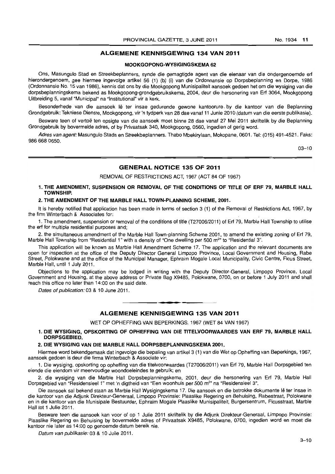### ALGEMENE KENNISGEWING 134 VAN 2011

#### MOOKGOPONG-WYSIGINGSKEMA 62

Ons, Masungulo Stad en Streekbeplanners, synde die gemagtigde agent van die eienaar van die ondergenoemde erf hierondergenoem, gee hiermee ingevolge artikel 56 (1) (b) (i) van die Ordonnansie op Dorpsbeplanning en Dorpe, 1986 (Ordonnansie No. 15 van 1986), kennis dat ons by die Mookgopong Munisipaliteit aansoek gedoen het om die wysiging van die dorpsbeplanningskema bekend as Mookgopong-grondgebruikskema, 2004, deur die hersonering van Erf 3064, Mookgopong Uitbreiding 5, vanaf "Municipal" na "Institutional" vir a kerk.

Besonderhede van die aansoek lê ter insae gedurende gewone kantoorure, by die kantoor van die Beplanning Grondgebruik: Tekniese Dienste, Mookgopong, vir 'n tydperk van 28 dae vanaf 11 Junie 2010 (datum van die eerste publikasie).

Besware teen of vertoë ten opsigte van die aansoek moet binne 28 dae vanaf 27 Mei 2011 skriftelik by die Beplanning Grondgebruik by bovermelde adres, of by Privaatsak 340, Mookgopong, 0560, ingedien of gerig word.

Adres van agent: Masungulo Stads en Streekbeplanners. Thabo Mbekirylaan, Mokopane, 0601. Tel: (015) 491-4521. Faks: 986 668 0650.

03-10

#### GENERAL NOTICE 135 OF 2011

REMOVAL OF RESTRICTIONS ACT, 1967 (ACT 84 OF 1967)

#### 1. THE AMENDMENT, SUSPENSION OR REMOVAL OF THE CONDITIONS OF TITLE OF ERF 79, MARBLE HALL TOWNSHIP.

#### 2. THE AMENDMENT OF THE MARBLE HALL TOWN-PLANNING SCHEME, 2001.

It is hereby notified that application has been made in terms of section 3 (1) of the Removal of Restrictions Act, 1967, by the firm Winterbach & Associates for:

1. The amendment, suspension or removal of the conditions of title (T27006/20 11) of Erf 79, Marble Hall Township to utilise the erf for multiple residential purposes and;

2. the simultaneous amendment of the Marble Hall Town-planning Scheme 2001, to amend the existing zoning of Erf 79, Marble Hall Township from "Residential 1" with a density of "One dwelling per 500 m<sup>2</sup>" to "Residential 3".

This application will be known as Marble Hall Amendment Scheme 17. The application and the relevant documents are open for inspection at the office of the Deputy Director General Limpopo Province, Local Government and Housing, Rabe Street, Polokwane and at the office of the Municipal Manager, Ephraim Mogale Local Municipality, Civic Centre, Ficus Street, Marble Hall, until 1 July 2011.

Objections to the application may be lodged in writing with the Deputy Director-General, Limpopo Province, Local Government and Housing, at the above address or Private Bag X9485, Polokwane, 0700, on or before 1 July 2011 and shall reach this office no later than 14:00 on the said date.

Dates of publication: 03 & 10 June 2011.

#### ALGEMENE KENNISGEWING 135 VAN 2011

WET OP OPHEFFING VAN BEPERKINGS, 1967 (WET 84 VAN 1967)

1. DIE WYSIGING, OPSKORTING OF OPHEFFING VAN DIE TITELVOORWAARDES VAN ERF 79, MARBLE HALL DORPSGEBIED.

**- .** 

#### 2. DIE WYSIGING VAN DIE MARBLE HALL DORPSBEPLANNINGSKEMA 2001.

Hiermee word bekendgemaak dat ingevolge die bepaling van artikel 3 (1) van die Wet op Opheffing van Beperkings, 1967, aansoek gedoen is deur die firma Winterbach & Associate vir:

1. Die wysiging, opskorting op opheffing van die titelvoorwaardes (T2?006/2011) van Erf 79, Marble Hall Dorpsgebied ten eiende die eiendom vir meervoudige woondoeleindes te gebruik; en

2. die wysiging van die Marble Hall Dorpsbeplanningskema, 2001, deur die hersonering van Erf 79, Marble Hall Dorpsgebied van "Residensieel 1" met 'n digtheid van "Een woonhuis per 500 m<sup>2</sup>" na "Residensieel 3".

Die aansoek sal bekend staan as Marble Hall Wysigingskema 17. Die aansoek en die betrokke dokumente lê ter insae in die kantoor van die Adjunk Direkteur-Generaal, Limpopo Provinsie: Plaaslike Regering en Behuising, Rabestraat, Polokwane en in die kantoor van die Munisipale Bestuurder, Ephraim Mogale Plaaslike Munisipaliteit, Burgersentrum, Ficusstraat, Marble Hall tot 1 Julie 2011.

Besware teen die aansoek kan voor of op 1 Julie 2011 skriftelik by die Adiunk Direkteur-Generaal, Limpopo Provinsie: Plaaslike Regering en Behuising by bovermelde adres of Privaatsak X9485, Polokwane, 0700, ingedien word en moet die kantoor nie later as 14:00 op genoemde datum bereik nie.

Datum van publikasie: 03 & 10 Julie 2011.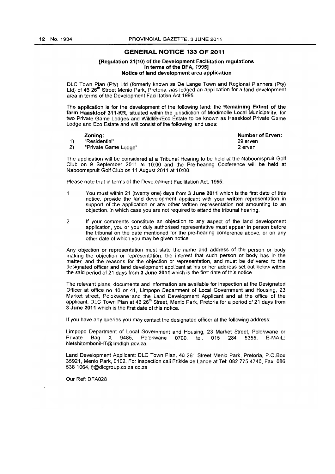#### GENERAL NOTICE 133 OF 2011

#### [Regulation 21(10) of the Development Facilitation regulations in terms of the DFA, 1995] Notice of land development area application

DLC Town Plan (Pty) Ltd (formerly known as De Lange Town and Regional Planners (Pty) Ltd) of 46 26<sup>th</sup> Street Menlo Park, Pretoria, has lodged an application for a land development area in terms of the Development Facilitation Act 1995.

The application is for the development of the following land: the Remaining Extent of the farm Haaskloof 311-KR, situated within the jurisdiction of Modimolle Local Municipality, for two Private Game Lodges and Wildlife-/Eco Estate to be known as Haaskloof Private Game Lodge and Eco Estate and will consist of the following land uses:

|    | Zoning:              | Number of Erven: |
|----|----------------------|------------------|
|    | "Residential"        | 29 erven         |
| 2) | "Private Game Lodge" | 2 erven          |

The application will be considered at a Tribunal Hearing to be held at the Naboomspruit Golf Club on 9 September 2011 at 10:00 and the Pre-hearing Conference will be held at Naboomspruit Golf Club on 11 August 2011 at 10:00.

Please note that in terms of the Development Facilitation Act, 1995:

- 1 You must within 21 (twenty one) days from 3 June 2011 which is the first date of this notice, provide the land development applicant with your written representation in support of the application or any other written representation not amounting to an objection, in which case you are not required to attend the tribunal hearing.
- 2 If your comments constitute an objection to any aspect of the land development application, you or your duly authorised representative must appear in person before the tribunal on the date mentioned for the pre-hearing conference above, or on any other date of which you may be given notice.

Any objection or representation must state the name and address of the person or body making the objection or representation, the interest that such person or body has in the matter, and the reasons for the objection or representation, and must be delivered to the designated officer and land development applicant at his or her address set out below within the said period of 21 days from 3 June 2011 which is the first date of this notice.

The relevant plans, documents and information are available for inspection at the Designated Officer at office no 40 or 41, Limpopo Department of Local Government and Housing, 23 Market street, Polokwane and the Land Development Applicant and at the office of the applicant, DLC Town Plan at 46 26<sup>th</sup> Street, Menlo Park, Pretoria for a period of 21 days from 3 June 2011 which is the first date of this notice.

If you have any queries you may contact the designated officer at the following address:

Limpopo Department of Local Government and Housing, 23 Market Street, Polokwane or Bag X 9485, Polokwane 0700, NetshitomboniHT@limdlgh.gov.za.

Land Development Applicant: DLC Town Plan, 46 26<sup>th</sup> Street Menlo Park, Pretoria, P.O.Box 35921, Menlo Park, 0102, For inspection call Frikkie de Lange at Tel: 0827754740, Fax: 086 538 1064, fj@dlcgroup.co.za.co.za

Our Ref: DF A028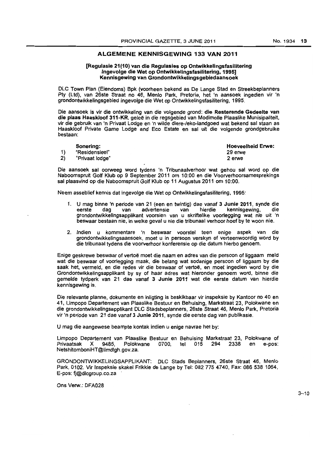#### ALGEMENE KENNISGEWING 133 VAN 2011

#### [Regulasie 21(10) van die Regulasies op Ontwikkellngsfasilitering Ingevolge die Wet op Ontwikkelingsfasilitering, 1995] Kennisgewing van Grondontwlkkelingsgebiedaansoek

DLC Town Plan (Eiendoms) Bpk (voorheen bekend as De Lange Stad en Streekbeplanners Pty (Ltd), van 26ste Straat no 46, Menlo Park, Pretoria, het 'n aansoek ingedien vir 'n grondontwikkelingsgebied ingevolge die Wet op Ontwikke/ingsfasilitering, 1995.

Die aansoek is vir die ontwikkeling van die volgende grond: die Resterende Gedeelte van die plaas Haaskloof 311-KR, geleë in die regsgebied van Modimolle Plaaslike Munisipaliteit, vir die gebruik van 'n Privaat Lodge en 'n wilde diere-/eko-Iandgoed wat bekend sal staan as Haaskloof Private Game Lodge and Eco Estate en sal uit die volgende grondgebruike bestaan:

|    | Sonering:       | <b>Hoeveelheid Erwe:</b> |
|----|-----------------|--------------------------|
|    | "Residensieel"  | 29 erwe                  |
| 2) | "Privaat lodge" | 2 erwe                   |

Die aansoek sal oorweeg word tydens 'n Tribunaalverhoor wat gehou sal word op die Naboomspruit Golf Klub op 9 September 2011 om 10:00 en die Voorverhoorsamesprekings sal plaasvind op die Naboomspruit Golf Klub op 11 Augustus 2011 am 10:00.

Neem asseblief kennis dat ingevolge die Wet op Ontwikkelingsfasilitering, 1995:

- 1. U mag binne 'n periode van 21 (een en twintig) dae vanaf 3 Junie 2011, synde die eerste blag van bedvertensie van hierdie kennisgewing, die eerste dag van advertensie van hierdie kennisgewing, die grondontwikkelingsapplikant voorsien van u skriftelike voorlegging wat nie uit 'n beswaar bestaan nie, in welke geval u nie die tribunaal verhoor hoef by te woon nie.
- 2. Indien u kommentare 'n beswaar voorstel teen enige aspek van die grondontwikkelingsaansoek, moet u in persoon verskyn of verteenwoordig word by die tribunaal tydens die voorverhoor konferensie op die datum hierbo genoem.

Enige geskrewe beswaar of vertoë moet die naam en adres van die persoon of liggaam meld wat die beswaar of voorlegging maak, die belang wat sodanige persoon of liggaam by die saak het, vermeld, en die redes vir die beswaar of vertoë, en moet ingedien word by die Grondontwikkelingsapplikant by sy of haar adres wat hieronder genoem word, binne die gemelde tydperk van 21 dae vanaf 3 Junie 2011 wat die eerste datum van hierdie kennisgewing is.

Die relevante planne, dokumente en inligting is beskikbaar vir inspeksie by Kantoor no 40 en 41, Limpopo Departement van Plaaslike Bestuur en Behuising, Markstraat 23, Polokwane en die grondontwikkelingsapplikant OLC Stadsbeplanners, 26ste Straat 46, Menlo Park, Pretoria vir 'n periode van 21 dae vanaf 3 Junie 2011, synde die eerste dag van publikasie.

U mag die aangewese beampte kontak indien u enige navrae het by:

Limpopo Departement van Plaaslike Bestuur en Behuising Markstraat 23, Polokwane of Polokwane 0700, tel 015 294 2338 en e-pos: NetshitomboniHT@limdlgh.gov.za.

GRONDONTWIKKELINGSAPPLIKANT: OLe Stads Beplanners, 26ste Straat 46, Menlo Park, 0102. Vir Inspeksie skakel Frikkie de Lange by Tel: 082 775 4740, Fax: 086538 1064, E-pos: fj@dlcgroup.co.za

Ons Verw.: DFA028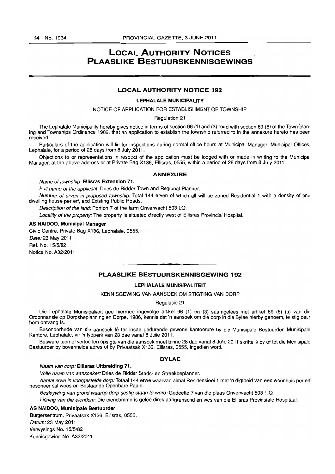## **LOCAL AUTHORITY NOTICES PLAASLIKE BESTUURSKENNISGEWINGS**

#### LOCAL AUTHORITY NOTICE 192

#### LEPHALALE MUNICIPALITY

#### NOTICE OF APPLICATION FOR ESTABLISHMENT OF TOWNSHIP

Regulation 21

The Lephalale Municipality hereby gives notice in terms of section 96 (1) and (3) read with section 69 (6) of the Town-planing and Townships Ordinance 1986, that an application to establish the township referred to in the annexure hereto has been received.

Particulars of the application will lie for inspections during normal office hours at Municipal Manager, Municipal Offices, Lephalale, for a period of 28 days from 8 July 2011.

Objections to or representations in respect of the application must be lodged with or made in writing to the Municipal Manager, at the above address or at Private Bag X136, Ellisras, 0555, within a period of 28 days from 8 July 2011.

#### ANNEXURE

#### Name of township: Ellisras Extension 71.

Full name of the applicant: Dries de Ridder Town and Regional Planner.

Number of erven in proposed township: Total 144 erven of which all will be zoned Residential 1 with a density of one dwelling house per erf, and Existing Public Roads.

Description of the land: Portion 7 of the farm Onverwacht 503 LQ.

Locality of the property: The property is situated directly west of Ellisras Provincial Hospital.

#### AS NAIDOO, Municipal Manager

Civic Centre, Private Bag X136, Lephalale, 0555. Date: 23 May 2011 Ref. No. 15/5/82 Notice No. A32/2011

### • **• I**  PLAASLIKE BESTUURSKENNISGEWING 192

#### **LEPHALALE MUNISIPALITEIT**

#### KENNISGEWING VAN AANSOEK OM STIGTING VAN DORP

#### Regulasie 21

Die Lephalale Munisipaliteit gee hiermee ingevolge artikel 96 (1) en (3) saamgelees met artikel 69 (6) (a) van die Ordonnansie op Dorpsbeplanning en Dorpe, 1986, kennis dat 'n aansoek om die dorp in die Bylae hierby genoem, te stig deur hom ontvang is.

Besonderhede van die aansoek lê ter insae gedurende gewone kantoorure by die Munisipale Bestuurder, Munisipale Kantore, Lephalale, vir 'n tydperk van 28 dae vanaf 8 Julie 2011.

Besware teen of vertoë ten opsigte van die aansoek moet binne 28 dae vanaf 8 Julie 2011 skriftelik by of tot die Munisipale Bestuurder by bovermelde adres of by Privaatsak X136, Ellisras, 0555, ingedien word.

#### BYLAE

#### Naam van dorp: Ellisras Uitbreiding 71.

Volle naam van aansoeker: Dries de Ridder Stads- en Streekbeplanner.

Aantal erwe in voorgestelde dorp: Totaal 144 erwe waarvan almal Residensieel 1 met 'n digtheid van een woonhuis per erf gesoneer sal wees en Bestaande Openbare Paaie.

Beskrywing van grond waarop dorp gestig staan te word: Gedeelte 7 van die plaas Onverwacht 503 L.Q.

Ligging van die eiendom: Die eiendomme is geleë direk aangrensend en wes van die Ellisras Provinsiale Hospitaal.

#### AS NAIDOO, Munisipale Bestuurder

Burgersentrum, Privaatsak X136, Ellisras, 0555.

Datum: 23 May 2011

Verwysings No. 15/5/82

Kennisgewing No. A32/2011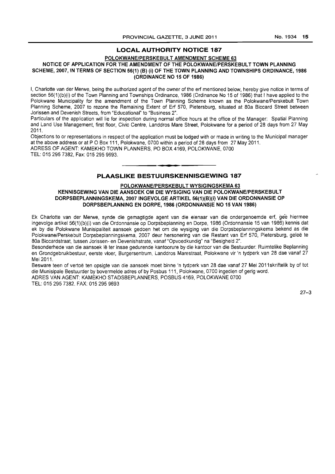#### LOCAL AUTHORITY NOTICE 187

#### POLOKWANE/PERSKEBULT AMENDMENT SCHEME 63

#### NOTICE OF APPLICATION FOR THE AMENDMENT OF THE POLOKWANE/PERSKEBULT TOWN PLANNING SCHEME, 2007, IN TERMS OF SECTION 56(1) (8) (i) OF THE TOWN PLANNING AND TOWNSHIPS ORDINANCE, 1986 (ORDINANCE NO 15 OF 1986)

I, Charlotte van der Merwe, being the authorized agent of the owner of the erf mentioned below, hereby give notice in terms of section 56(1)(b)(i) of the Town Planning and Townships Ordinance, 1986 (Ordinance No 15 of 1986) that I have applied to the Polokwane Municipality for the amendment of the Town Planning Scheme known as the Polokwane/Perskebult Town Planning Scheme, 2007 to rezone the Remaining Extent of Erf 570, Pietersburg, situated at 80a Biccard Street between Jorissen and Devenish Streets, from "Educational" to "Business 2".

Particulars of the application will lie for inspection during normal office hours at the office of the Manager: Spatial Planning and Land Use Management, first floor, Civic Centre, Landdros Mare Street, Polokwane for a period of 28 days from 27 May 2011.

Objections to or representations in respect of the application must be lodged with or made in writing to the Municipal manager at the above address or at P O Box 111, Polokwane, 0700 within a period of 28 days from 27 May 2011. ADRESS OF AGENT: KAMEKHO TOWN PLANNERS, PO BOX 4169, POLOKWANE, 0700

TEL: 0152957382, Fax: 015 295 9693.

### PLAASLIKE BESTUURSKENNISGEWING 187

**-**

POLOKWANE/PERSKEBULT WYSIGINGSKEMA 63

#### KENNISGEWING VAN DIE AANSOEK OM DIE WYSIGING VAN DIE POLOKWANE/PERSKE8ULT DORPSBEPLANNINGSKEMA, 2007 INGEVOLGE ARTIKEL 56(1)(B)(i) VAN DIE ORDONNANSIE OP DORPS8EPLANNING EN DORPE, 1986 (ORDONNANSJE NO 15 VAN 1986)

Ek Charlotte van der Merwe, synde die gemagtigde agent van die eienaar van die ondergenoemde erf, ge'e hiermee ingevolge artikel 56(1 )(b)(i) van die Ordonnansie op Dorpsbeplanning en Dorpe, 1986 (Ordonnansie 15 van 1986) kennis dat ek by die Polokwane Munisipaliteit aansoek gedoen het om die wysiging van die Dorpsbeplanningskema bekend as die Polokwane/Perskebult Dorpsbeplanningskema, 2007 deur hersonering van die Restant van Erf 570, Pietersburg, gelee te 80a Biccardstraat, tussen Jorissen- en Devenishstrate, vanaf "Opvoedkundig" na "Besigheid 2".

Besonderhede van die aansoek lê ter insae gedurende kantoorure by die kantoor van die Bestuurder: Ruimtelike Beplanning en Grondgebruikbestuur, eerste vloer, Burgersentrum, Landdros Marestraat, Polokwane vir 'n tydperk van 28 dae vanaf 27 Mei 2011.

Besware teen of vertoe ten opsigte van die aansoek moet binne 'n tydperk van 28 dae vanaf 27 Mei 2011skriftelik by of tot die Munisipale Bestuurder by bovermelde adres of by Posbus 111, Polokwane, 0700 ingedien of gerig word. ADRES VAN AGENT: KAMEKHO STADSBEPLANNERS, POSBUS 4169, POLOKWANE 0700

TEL: 0152957382. FAX: 0152959693

27-3